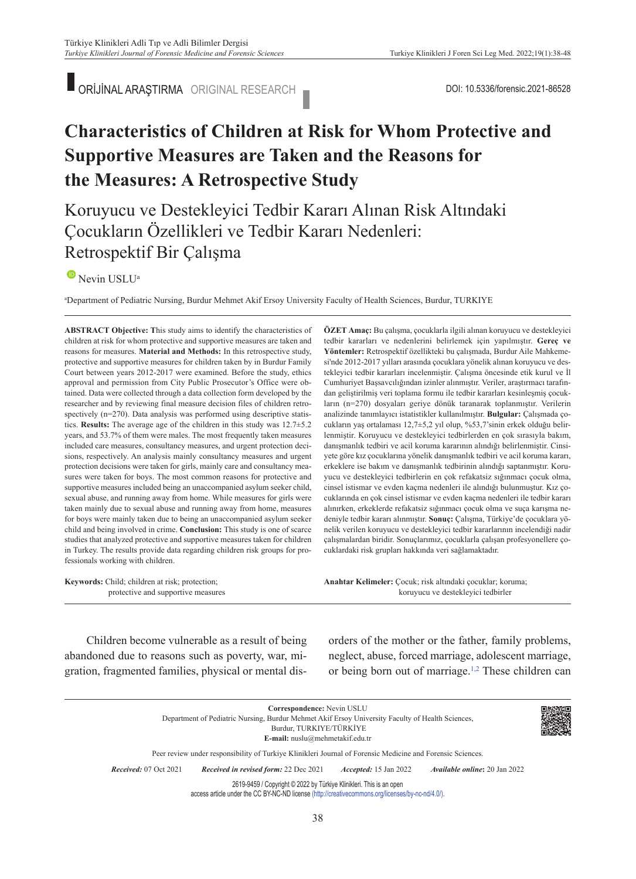ORİJİNAL ARAŞTIRMA ORIGINAL RESEARCH DOI: 10.5336/forensic.2021-86528

# **Characteristics of Children at Risk for Whom Protective and Supportive Measures are Taken and the Reasons for the Measures: A Retrospective Study**

# Koruyucu ve Destekleyici Tedbir Kararı Alınan Risk Altındaki Çocukların Özellikleri ve Tedbir Kararı Nedenleri: Retrospektif Bir Çalışma

## $\bullet$ Nevin USLU<sup>a</sup>

a Department of Pediatric Nursing, Burdur Mehmet Akif Ersoy University Faculty of Health Sciences, Burdur, TURKIYE

**ABS TRACT Objective: T**his study aims to identify the characteristics of children at risk for whom protective and supportive measures are taken and reasons for measures. **Material and Methods:** In this retrospective study, protective and supportive measures for children taken by in Burdur Family Court between years 2012-2017 were examined. Before the study, ethics approval and permission from City Public Prosecutor's Office were obtained. Data were collected through a data collection form developed by the researcher and by reviewing final measure decision files of children retrospectively (n=270). Data analysis was performed using descriptive statistics. **Results:** The average age of the children in this study was 12.7±5.2 years, and 53.7% of them were males. The most frequently taken measures included care measures, consultancy measures, and urgent protection decisions, respectively. An analysis mainly consultancy measures and urgent protection decisions were taken for girls, mainly care and consultancy measures were taken for boys. The most common reasons for protective and supportive measures included being an unaccompanied asylum seeker child, sexual abuse, and running away from home. While measures for girls were taken mainly due to sexual abuse and running away from home, measures for boys were mainly taken due to being an unaccompanied asylum seeker child and being involved in crime. **Conclusion:** This study is one of scarce studies that analyzed protective and supportive measures taken for children in Turkey. The results provide data regarding children risk groups for professionals working with children.

**Keywords:** Child; children at risk; protection; protective and supportive measures **ÖZET Amaç:** Bu çalışma, çocuklarla ilgili alınan koruyucu ve destekleyici tedbir kararları ve nedenlerini belirlemek için yapılmıştır. **Gereç ve Yöntemler:** Retrospektif özellikteki bu çalışmada, Burdur Aile Mahkemesi'nde 2012-2017 yılları arasında çocuklara yönelik alınan koruyucu ve destekleyici tedbir kararları incelenmiştir. Çalışma öncesinde etik kurul ve İl Cumhuriyet Başsavcılığından izinler alınmıştır. Veriler, araştırmacı tarafından geliştirilmiş veri toplama formu ile tedbir kararları kesinleşmiş çocukların (n=270) dosyaları geriye dönük taranarak toplanmıştır. Verilerin analizinde tanımlayıcı istatistikler kullanılmıştır. **Bulgular:** Çalışmada çocukların yaş ortalaması 12,7±5,2 yıl olup, %53,7'sinin erkek olduğu belirlenmiştir. Koruyucu ve destekleyici tedbirlerden en çok sırasıyla bakım, danışmanlık tedbiri ve acil koruma kararının alındığı belirlenmiştir. Cinsiyete göre kız çocuklarına yönelik danışmanlık tedbiri ve acil koruma kararı, erkeklere ise bakım ve danışmanlık tedbirinin alındığı saptanmıştır. Koruyucu ve destekleyici tedbirlerin en çok refakatsiz sığınmacı çocuk olma, cinsel istismar ve evden kaçma nedenleri ile alındığı bulunmuştur. Kız çocuklarında en çok cinsel istismar ve evden kaçma nedenleri ile tedbir kararı alınırken, erkeklerde refakatsiz sığınmacı çocuk olma ve suça karışma nedeniyle tedbir kararı alınmıştır. **Sonuç:** Çalışma, Türkiye'de çocuklara yönelik verilen koruyucu ve destekleyici tedbir kararlarının incelendiği nadir çalışmalardan biridir. Sonuçlarımız, çocuklarla çalışan profesyonellere çocuklardaki risk grupları hakkında veri sağlamaktadır.

Anahtar Kelimeler: Çocuk; risk altındaki çocuklar; koruma; koruyucu ve destekleyici tedbirler

Children become vulnerable as a result of being abandoned due to reasons such as poverty, war, migration, fragmented families, physical or mental disorders of the mother or the father, family problems, neglect, abuse, forced marriage, adolescent marriage, or being born out of marriage[.1,2](#page-9-0) These children can

|                                  | Correspondence: Nevin USLU<br>Department of Pediatric Nursing, Burdur Mehmet Akif Ersoy University Faculty of Health Sciences,<br>Burdur, TURKIYE/TÜRKİYE<br>E-mail: $nuslu@mehmetakif.edu.tr$ |                              |                                      | 89X E<br>34 |
|----------------------------------|------------------------------------------------------------------------------------------------------------------------------------------------------------------------------------------------|------------------------------|--------------------------------------|-------------|
|                                  | Peer review under responsibility of Turkiye Klinikleri Journal of Forensic Medicine and Forensic Sciences.                                                                                     |                              |                                      |             |
| <i>Received:</i> $07$ Oct $2021$ | Received in revised form: 22 Dec 2021                                                                                                                                                          | <i>Accepted:</i> 15 Jan 2022 | <i>Available online: 20 Jan 2022</i> |             |
|                                  | 2619-9459 / Copyright © 2022 by Türkiye Klinikleri. This is an open<br>access article under the CC BY-NC-ND license (http://creativecommons.org/licenses/by-nc-nd/4.0/).                       |                              |                                      |             |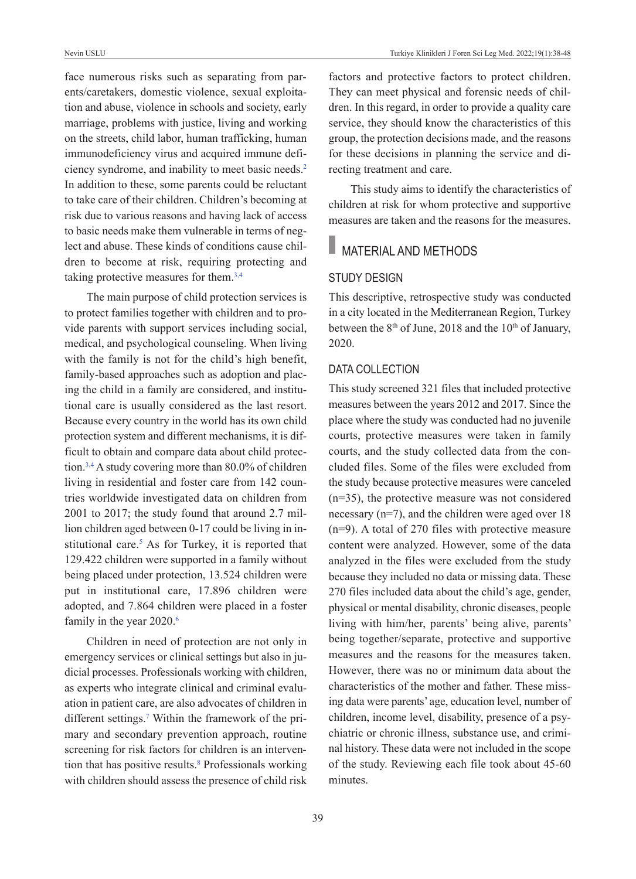face numerous risks such as separating from parents/caretakers, domestic violence, sexual exploitation and abuse, violence in schools and society, early marriage, problems with justice, living and working on the streets, child labor, human trafficking, human immunodeficiency virus and acquired immune deficiency syndrome, and inability to meet basic needs[.2](#page-9-0) In addition to these, some parents could be reluctant to take care of their children. Children's becoming at risk due to various reasons and having lack of access to basic needs make them vulnerable in terms of neglect and abuse. These kinds of conditions cause children to become at risk, requiring protecting and taking protective measures for them.<sup>3,4</sup>

The main purpose of child protection services is to protect families together with children and to provide parents with support services including social, medical, and psychological counseling. When living with the family is not for the child's high benefit, family-based approaches such as adoption and placing the child in a family are considered, and institutional care is usually considered as the last resort. Because every country in the world has its own child protection system and different mechanisms, it is difficult to obtain and compare data about child protection[.3,4](#page-9-0) A study covering more than 80.0% of children living in residential and foster care from 142 countries worldwide investigated data on children from 2001 to 2017; the study found that around 2.7 million children aged between 0-17 could be living in institutional care.<sup>5</sup> As for Turkey, it is reported that 129.422 children were supported in a family without being placed under protection, 13.524 children were put in institutional care, 17.896 children were adopted, and 7.864 children were placed in a foster family in the year 2020.<sup>6</sup>

Children in need of protection are not only in emergency services or clinical settings but also in judicial processes. Professionals working with children, as experts who integrate clinical and criminal evaluation in patient care, are also advocates of children in different settings[.7](#page-9-0) Within the framework of the primary and secondary prevention approach, routine screening for risk factors for children is an intervention that has positive results.<sup>8</sup> Professionals working with children should assess the presence of child risk

factors and protective factors to protect children. They can meet physical and forensic needs of children. In this regard, in order to provide a quality care service, they should know the characteristics of this group, the protection decisions made, and the reasons for these decisions in planning the service and directing treatment and care.

This study aims to identify the characteristics of children at risk for whom protective and supportive measures are taken and the reasons for the measures.

# MATERIAL AND METHODS

### STuDY DESIGN

This descriptive, retrospective study was conducted in a city located in the Mediterranean Region, Turkey between the  $8<sup>th</sup>$  of June, 2018 and the 10<sup>th</sup> of January, 2020.

#### DATA COLLECTION

This study screened 321 files that included protective measures between the years 2012 and 2017. Since the place where the study was conducted had no juvenile courts, protective measures were taken in family courts, and the study collected data from the concluded files. Some of the files were excluded from the study because protective measures were canceled (n=35), the protective measure was not considered necessary (n=7), and the children were aged over 18 (n=9). A total of 270 files with protective measure content were analyzed. However, some of the data analyzed in the files were excluded from the study because they included no data or missing data. These 270 files included data about the child's age, gender, physical or mental disability, chronic diseases, people living with him/her, parents' being alive, parents' being together/separate, protective and supportive measures and the reasons for the measures taken. However, there was no or minimum data about the characteristics of the mother and father. These missing data were parents' age, education level, number of children, income level, disability, presence of a psychiatric or chronic illness, substance use, and criminal history. These data were not included in the scope of the study. Reviewing each file took about 45-60 minutes.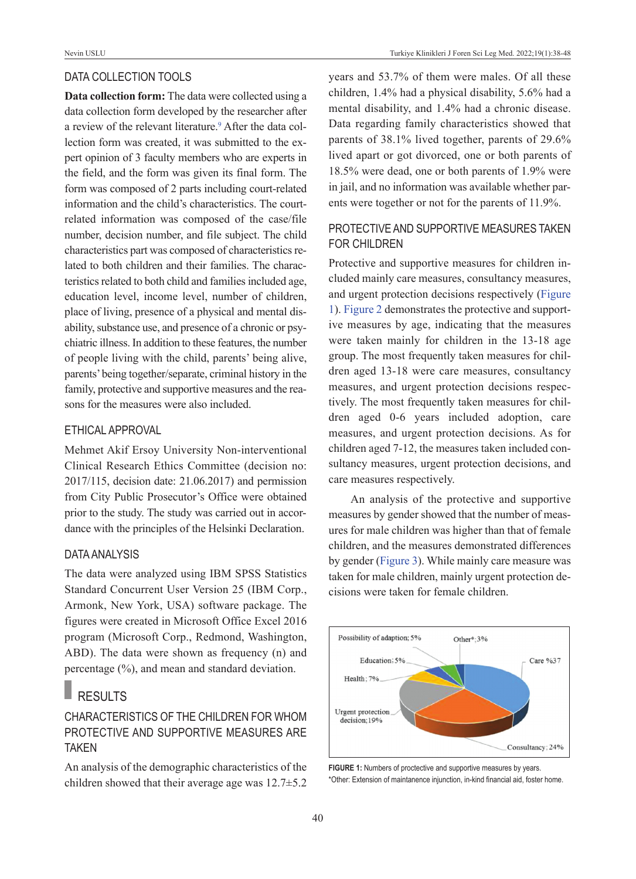#### DATA COLLECTION TOOLS

**Data collection form:** The data were collected using a data collection form developed by the researcher after a review of the relevant literature.<sup>9</sup> After the data collection form was created, it was submitted to the expert opinion of 3 faculty members who are experts in the field, and the form was given its final form. The form was composed of 2 parts including court-related information and the child's characteristics. The courtrelated information was composed of the case/file number, decision number, and file subject. The child characteristics part was composed of characteristics related to both children and their families. The characteristics related to both child and families included age, education level, income level, number of children, place of living, presence of a physical and mental disability, substance use, and presence of a chronic or psychiatric illness. In addition to these features, the number of people living with the child, parents' being alive, parents' being together/separate, criminal history in the family, protective and supportive measures and the reasons for the measures were also included.

#### ETHICAL AppROvAL

Mehmet Akif Ersoy University Non-interventional Clinical Research Ethics Committee (decision no: 2017/115, decision date: 21.06.2017) and permission from City Public Prosecutor's Office were obtained prior to the study. The study was carried out in accordance with the principles of the Helsinki Declaration.

### DATA ANALYSIS

The data were analyzed using IBM SPSS Statistics Standard Concurrent User Version 25 (IBM Corp., Armonk, New York, USA) software package. The figures were created in Microsoft Office Excel 2016 program (Microsoft Corp., Redmond, Washington, ABD). The data were shown as frequency (n) and percentage (%), and mean and standard deviation.

# RESULTS

## CHARACTERISTICS Of THE CHILDREN fOR wHOM pROTECTIvE AND SuppORTIvE MEASuRES ARE TAKEN

An analysis of the demographic characteristics of the children showed that their average age was 12.7±5.2 years and 53.7% of them were males. Of all these children, 1.4% had a physical disability, 5.6% had a mental disability, and 1.4% had a chronic disease. Data regarding family characteristics showed that parents of 38.1% lived together, parents of 29.6% lived apart or got divorced, one or both parents of 18.5% were dead, one or both parents of 1.9% were in jail, and no information was available whether parents were together or not for the parents of 11.9%.

## pROTECTIvE AND SuppORTIvE MEASuRES TAKEN fOR CHILDREN

Protective and supportive measures for children included mainly care measures, consultancy measures, and urgent protection decisions respectively [\(Figure](#page-2-0)  [1\)](#page-2-0). [Figure 2](#page-3-0) demonstrates the protective and supportive measures by age, indicating that the measures were taken mainly for children in the 13-18 age group. The most frequently taken measures for children aged 13-18 were care measures, consultancy measures, and urgent protection decisions respectively. The most frequently taken measures for children aged 0-6 years included adoption, care measures, and urgent protection decisions. As for children aged 7-12, the measures taken included consultancy measures, urgent protection decisions, and care measures respectively.

An analysis of the protective and supportive measures by gender showed that the number of measures for male children was higher than that of female children, and the measures demonstrated differences by gender [\(Figure 3\)](#page-3-1). While mainly care measure was taken for male children, mainly urgent protection decisions were taken for female children.



<span id="page-2-0"></span>FIGURE 1: Numbers of proctective and supportive measures by years. \*Other: Extension of maintanence injunction, in-kind financial aid, foster home.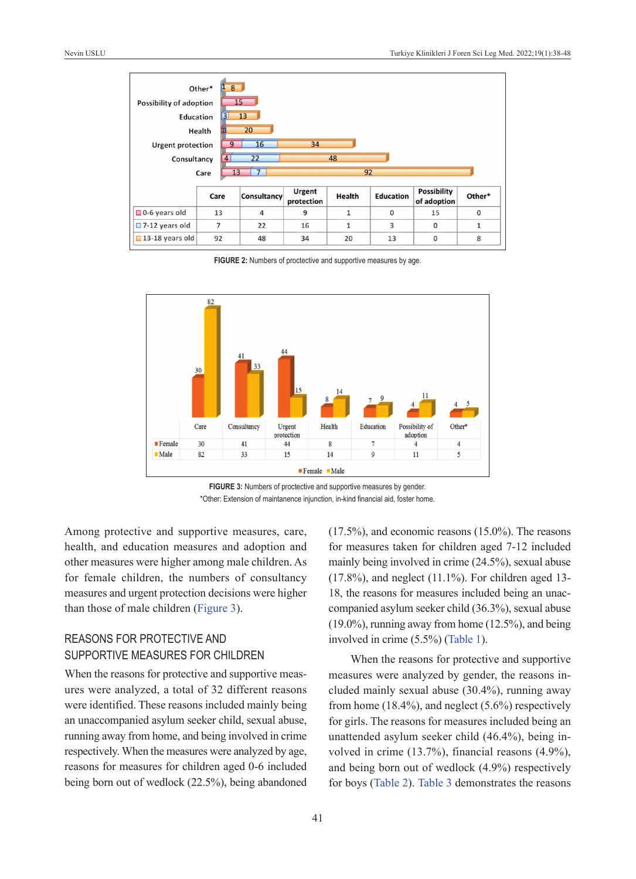

FIGURE 2: Numbers of proctective and supportive measures by age.



**FIGURE 3:** Numbers of proctective and supportive measures by gender. \*Other: Extension of maintanence injunction, in-kind financial aid, foster home.

Among protective and supportive measures, care, health, and education measures and adoption and other measures were higher among male children. As for female children, the numbers of consultancy measures and urgent protection decisions were higher than those of male children [\(Figure 3\)](#page-3-1).

## REASONS fOR pROTECTIvE AND SuppORTIvE MEASuRES fOR CHILDREN

When the reasons for protective and supportive measures were analyzed, a total of 32 different reasons were identified. These reasons included mainly being an unaccompanied asylum seeker child, sexual abuse, running away from home, and being involved in crime respectively. When the measures were analyzed by age, reasons for measures for children aged 0-6 included being born out of wedlock (22.5%), being abandoned <span id="page-3-1"></span><span id="page-3-0"></span>(17.5%), and economic reasons (15.0%). The reasons for measures taken for children aged 7-12 included mainly being involved in crime (24.5%), sexual abuse  $(17.8\%)$ , and neglect  $(11.1\%)$ . For children aged 13-18, the reasons for measures included being an unaccompanied asylum seeker child (36.3%), sexual abuse (19.0%), running away from home (12.5%), and being involved in crime (5.5%) [\(Table 1\)](#page-4-0).

When the reasons for protective and supportive measures were analyzed by gender, the reasons included mainly sexual abuse (30.4%), running away from home  $(18.4\%)$ , and neglect  $(5.6\%)$  respectively for girls. The reasons for measures included being an unattended asylum seeker child (46.4%), being involved in crime (13.7%), financial reasons (4.9%), and being born out of wedlock (4.9%) respectively for boys [\(Table 2\)](#page-5-0). [Table 3](#page-6-0) demonstrates the reasons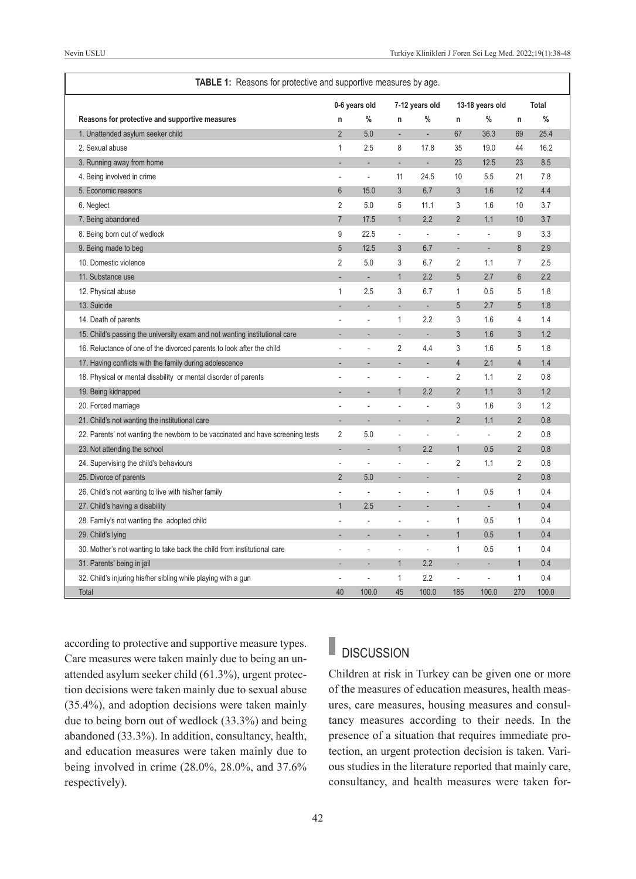| TABLE 1: Reasons for protective and supportive measures by age.                |                |               |                |                          |                |                          |                |              |
|--------------------------------------------------------------------------------|----------------|---------------|----------------|--------------------------|----------------|--------------------------|----------------|--------------|
|                                                                                |                | 0-6 years old |                | 7-12 years old           |                | 13-18 years old          |                | <b>Total</b> |
| Reasons for protective and supportive measures                                 | n              | %             | n              | $\%$                     | n              | $\%$                     | n              | $\%$         |
| 1. Unattended asylum seeker child                                              | $\overline{2}$ | 5.0           | L,             |                          | 67             | 36.3                     | 69             | 25.4         |
| 2. Sexual abuse                                                                | $\mathbf{1}$   | 2.5           | 8              | 17.8                     | 35             | 19.0                     | 44             | 16.2         |
| 3. Running away from home                                                      |                |               | L,             | ÷,                       | 23             | 12.5                     | 23             | 8.5          |
| 4. Being involved in crime                                                     | ä,             | $\Box$        | 11             | 24.5                     | 10             | 5.5                      | 21             | 7.8          |
| 5. Economic reasons                                                            | 6              | 15.0          | 3              | 6.7                      | 3              | 1.6                      | 12             | 4.4          |
| 6. Neglect                                                                     | 2              | 5.0           | 5              | 11.1                     | 3              | 1.6                      | 10             | 3.7          |
| 7. Being abandoned                                                             | $\overline{7}$ | 17.5          | $\mathbf{1}$   | 2.2                      | $\overline{2}$ | 1.1                      | 10             | 3.7          |
| 8. Being born out of wedlock                                                   | 9              | 22.5          | $\overline{a}$ | L.                       | J.             | l.                       | 9              | 3.3          |
| 9. Being made to beg                                                           | 5              | 12.5          | 3              | 6.7                      | ۰              | ÷,                       | 8              | 2.9          |
| 10. Domestic violence                                                          | $\overline{2}$ | 5.0           | 3              | 6.7                      | $\overline{2}$ | 1.1                      | $\overline{7}$ | 2.5          |
| 11. Substance use                                                              |                | ÷,            | $\mathbf{1}$   | 2.2                      | 5              | 2.7                      | $6\phantom{1}$ | 2.2          |
| 12. Physical abuse                                                             | 1              | 2.5           | 3              | 6.7                      | $\mathbf{1}$   | 0.5                      | 5              | 1.8          |
| 13. Suicide                                                                    |                |               | L,             | $\mathbf{r}$             | 5              | 2.7                      | 5              | 1.8          |
| 14. Death of parents                                                           |                |               | $\mathbf{1}$   | 2.2                      | 3              | 1.6                      | $\overline{4}$ | 1.4          |
| 15. Child's passing the university exam and not wanting institutional care     |                |               | L,             | L.                       | $\overline{3}$ | 1.6                      | $\overline{3}$ | 1.2          |
| 16. Reluctance of one of the divorced parents to look after the child          |                |               | $\overline{2}$ | 4.4                      | 3              | 1.6                      | 5              | 1.8          |
| 17. Having conflicts with the family during adolescence                        |                |               | L              | L.                       | $\overline{4}$ | 2.1                      | $\overline{4}$ | 1.4          |
| 18. Physical or mental disability or mental disorder of parents                |                | ä,            | L.             | L.                       | 2              | 1.1                      | $\overline{2}$ | 0.8          |
| 19. Being kidnapped                                                            |                | L.            | $\mathbf{1}$   | 2.2                      | $\overline{2}$ | 1.1                      | 3              | 1.2          |
| 20. Forced marriage                                                            | ä,             | ä,            | ÷,             | L.                       | 3              | 1.6                      | 3              | 1.2          |
| 21. Child's not wanting the institutional care                                 |                |               |                |                          | $\overline{2}$ | 1.1                      | $\overline{2}$ | 0.8          |
| 22. Parents' not wanting the newborn to be vaccinated and have screening tests | 2              | 5.0           | $\overline{a}$ | J.                       | ÷,             | $\overline{\phantom{a}}$ | $\overline{2}$ | 0.8          |
| 23. Not attending the school                                                   |                |               | $\overline{1}$ | 2.2                      | $\mathbf{1}$   | 0.5                      | $\overline{2}$ | 0.8          |
| 24. Supervising the child's behaviours                                         | ä,             | L.            | ä              | ÷.                       | $\overline{2}$ | 1.1                      | $\overline{2}$ | 0.8          |
| 25. Divorce of parents                                                         | $\overline{2}$ | 5.0           |                |                          |                |                          | $\overline{2}$ | 0.8          |
| 26. Child's not wanting to live with his/her family                            |                | ä,            | Ĭ.             | ä,                       | $\mathbf{1}$   | 0.5                      | $\mathbf{1}$   | 0.4          |
| 27. Child's having a disability                                                | $\mathbf{1}$   | 2.5           | L              |                          | L,             | L,                       | $\mathbf{1}$   | 0.4          |
| 28. Family's not wanting the adopted child                                     |                |               | L,             | ÷.                       | $\mathbf{1}$   | 0.5                      | $\mathbf{1}$   | 0.4          |
| 29. Child's lying                                                              |                | ÷,            | ÷,             | $\overline{\phantom{a}}$ | $\mathbf{1}$   | 0.5                      | $\mathbf{1}$   | 0.4          |
| 30. Mother's not wanting to take back the child from institutional care        |                |               |                | J.                       | $\mathbf{1}$   | 0.5                      | $\mathbf{1}$   | 0.4          |
| 31. Parents' being in jail                                                     |                | Ĭ.            | $\mathbf{1}$   | 2.2                      | ÷,             | ÷,                       | $\mathbf{1}$   | 0.4          |
| 32. Child's injuring his/her sibling while playing with a gun                  |                |               | $\mathbf{1}$   | 2.2                      | J.             | L,                       | $\mathbf{1}$   | 0.4          |
| Total                                                                          | 40             | 100.0         | 45             | 100.0                    | 185            | 100.0                    | 270            | 100.0        |

according to protective and supportive measure types. Care measures were taken mainly due to being an unattended asylum seeker child (61.3%), urgent protection decisions were taken mainly due to sexual abuse (35.4%), and adoption decisions were taken mainly due to being born out of wedlock (33.3%) and being abandoned (33.3%). In addition, consultancy, health, and education measures were taken mainly due to being involved in crime (28.0%, 28.0%, and 37.6% respectively).

#### <span id="page-4-0"></span>**DISCUSSION**

Children at risk in Turkey can be given one or more of the measures of education measures, health measures, care measures, housing measures and consultancy measures according to their needs. In the presence of a situation that requires immediate protection, an urgent protection decision is taken. Various studies in the literature reported that mainly care, consultancy, and health measures were taken for-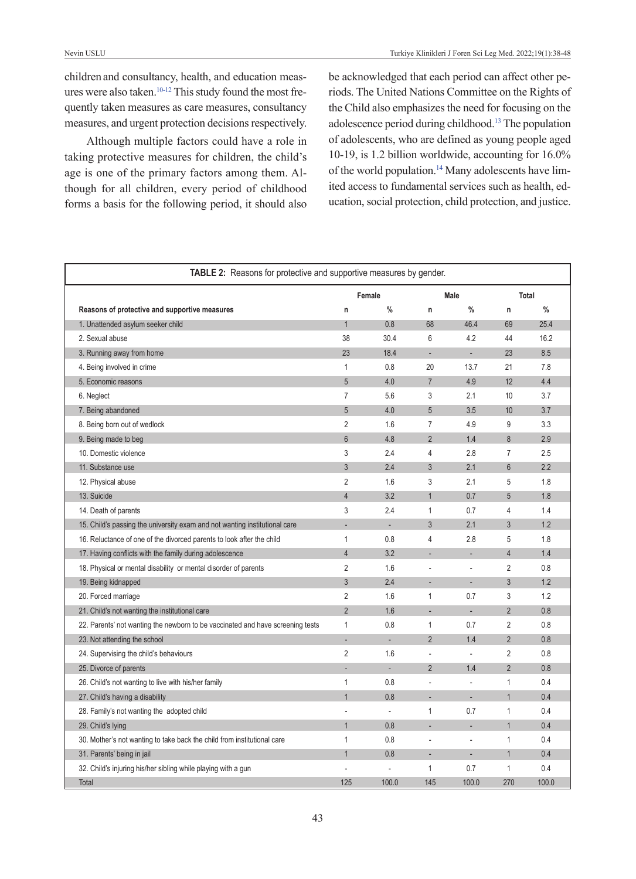children and consultancy, health, and education measures were also taken.<sup>10-12</sup> This study found the most frequently taken measures as care measures, consultancy measures, and urgent protection decisions respectively.

Although multiple factors could have a role in taking protective measures for children, the child's age is one of the primary factors among them. Although for all children, every period of childhood forms a basis for the following period, it should also <span id="page-5-0"></span>be acknowledged that each period can affect other periods. The United Nations Committee on the Rights of the Child also emphasizes the need for focusing on the adolescence period during childhood[.13](#page-9-0) The population of adolescents, who are defined as young people aged 10-19, is 1.2 billion worldwide, accounting for 16.0% of the world population.<sup>14</sup> Many adolescents have limited access to fundamental services such as health, education, social protection, child protection, and justice.

| <b>TABLE 2:</b> Reasons for protective and supportive measures by gender.      |                |               |                |             |                |               |
|--------------------------------------------------------------------------------|----------------|---------------|----------------|-------------|----------------|---------------|
|                                                                                |                | Female        |                | <b>Male</b> |                | <b>Total</b>  |
| Reasons of protective and supportive measures                                  | $\mathsf{n}$   | $\frac{0}{0}$ | n              | $\%$        | n              | $\frac{0}{0}$ |
| 1. Unattended asylum seeker child                                              | $\overline{1}$ | 0.8           | 68             | 46.4        | 69             | 25.4          |
| 2. Sexual abuse                                                                | 38             | 30.4          | 6              | 4.2         | 44             | 16.2          |
| 3. Running away from home                                                      | 23             | 18.4          | ÷.             | ÷.          | 23             | 8.5           |
| 4. Being involved in crime                                                     | $\mathbf{1}$   | 0.8           | 20             | 13.7        | 21             | 7.8           |
| 5. Economic reasons                                                            | 5              | 4.0           | $\overline{7}$ | 4.9         | 12             | 4.4           |
| 6. Neglect                                                                     | $\overline{7}$ | 5.6           | 3              | 2.1         | 10             | 3.7           |
| 7. Being abandoned                                                             | 5              | 4.0           | 5              | 3.5         | 10             | 3.7           |
| 8. Being born out of wedlock                                                   | $\overline{2}$ | 1.6           | $\overline{7}$ | 4.9         | 9              | 3.3           |
| 9. Being made to beg                                                           | $6\phantom{1}$ | 4.8           | $\overline{2}$ | 1.4         | 8              | 2.9           |
| 10. Domestic violence                                                          | 3              | 2.4           | $\overline{4}$ | 2.8         | $\overline{7}$ | 2.5           |
| 11. Substance use                                                              | 3              | 2.4           | 3              | 2.1         | 6              | 2.2           |
| 12. Physical abuse                                                             | $\overline{2}$ | 1.6           | 3              | 2.1         | 5              | 1.8           |
| 13. Suicide                                                                    | $\overline{4}$ | 3.2           | $\mathbf{1}$   | 0.7         | 5              | 1.8           |
| 14. Death of parents                                                           | 3              | 2.4           | $\mathbf{1}$   | 0.7         | 4              | 1.4           |
| 15. Child's passing the university exam and not wanting institutional care     |                | ÷,            | 3              | 2.1         | 3              | 1.2           |
| 16. Reluctance of one of the divorced parents to look after the child          | $\mathbf{1}$   | 0.8           | 4              | 2.8         | 5              | 1.8           |
| 17. Having conflicts with the family during adolescence                        | $\overline{4}$ | 3.2           |                |             | $\overline{4}$ | 1.4           |
| 18. Physical or mental disability or mental disorder of parents                | $\overline{2}$ | 1.6           | ä,             | ÷,          | $\overline{2}$ | 0.8           |
| 19. Being kidnapped                                                            | 3              | 2.4           | ÷.             | ÷.          | 3              | 1.2           |
| 20. Forced marriage                                                            | $\overline{2}$ | 1.6           | $\mathbf{1}$   | 0.7         | 3              | 1.2           |
| 21. Child's not wanting the institutional care                                 | $\overline{2}$ | 1.6           | ÷.             | ÷.          | $\overline{2}$ | 0.8           |
| 22. Parents' not wanting the newborn to be vaccinated and have screening tests | $\mathbf{1}$   | 0.8           | $\mathbf{1}$   | 0.7         | $\overline{2}$ | 0.8           |
| 23. Not attending the school                                                   |                |               | $\overline{2}$ | 1.4         | $\overline{2}$ | 0.8           |
| 24. Supervising the child's behaviours                                         | $\overline{2}$ | 1.6           |                |             | $\overline{2}$ | 0.8           |
| 25. Divorce of parents                                                         |                | L.            | $\overline{2}$ | 1.4         | $\overline{2}$ | 0.8           |
| 26. Child's not wanting to live with his/her family                            | $\mathbf{1}$   | 0.8           |                |             | 1              | 0.4           |
| 27. Child's having a disability                                                | $\overline{1}$ | 0.8           |                | ÷.          | $\overline{1}$ | 0.4           |
| 28. Family's not wanting the adopted child                                     |                | ä,            | $\mathbf{1}$   | 0.7         | 1              | 0.4           |
| 29. Child's lying                                                              | $\overline{1}$ | 0.8           |                |             | $\mathbf{1}$   | 0.4           |
| 30. Mother's not wanting to take back the child from institutional care        | $\mathbf{1}$   | 0.8           |                |             | 1              | 0.4           |
| 31. Parents' being in jail                                                     | $\mathbf{1}$   | 0.8           |                |             | $\overline{1}$ | 0.4           |
| 32. Child's injuring his/her sibling while playing with a gun                  |                |               | 1              | 0.7         | 1              | 0.4           |
| Total                                                                          | 125            | 100.0         | 145            | 100.0       | 270            | 100.0         |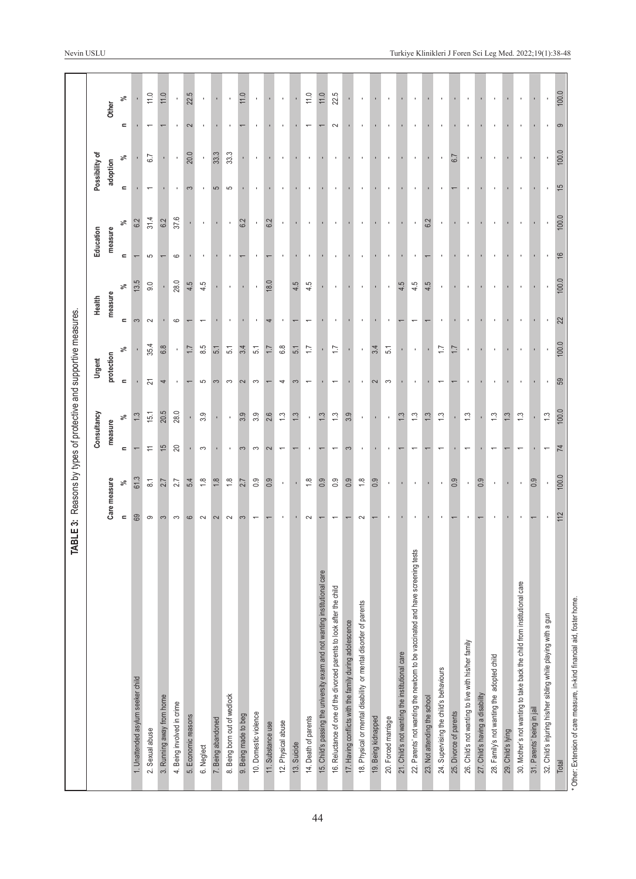<span id="page-6-0"></span>

|                                                                                   |                |                    |                                                               | TABLE 3: Reasons by types of protective and supportive measures. |                          |                  |                         |              |               |               |                |                |                          |                |
|-----------------------------------------------------------------------------------|----------------|--------------------|---------------------------------------------------------------|------------------------------------------------------------------|--------------------------|------------------|-------------------------|--------------|---------------|---------------|----------------|----------------|--------------------------|----------------|
|                                                                                   |                |                    |                                                               | Consultancy                                                      | Urgent                   |                  | Health                  |              | Education     |               | Possibility of |                |                          |                |
|                                                                                   |                | Care measure       | measure                                                       |                                                                  | protection               |                  | measure                 |              | measure       |               | adoption       |                | Other                    |                |
|                                                                                   | $\blacksquare$ | వ్                 | $\blacksquare$                                                | వ్                                                               | $\equiv$                 | వ్               | $\blacksquare$          | వ్           | $\equiv$      | వ్            | $\blacksquare$ | వ్             | $\mathbf{r}$             | వ్             |
| 1. Unattended asylum seeker child                                                 | 69             | 61.3               |                                                               | $\ddot{.}3$                                                      |                          |                  | S                       | 13.5         |               | 6.2           |                |                |                          |                |
| 2. Sexual abuse                                                                   | ၜ              | $\overline{\circ}$ | $\stackrel{\textstyle\scriptstyle\smile}{\scriptstyle\!\sim}$ | 15.1                                                             | 21                       | 35.4             | $\sim$                  | 9.0          | 5             | 31.4          |                | 6.7            |                          | 11.0           |
| 3. Running away from home                                                         | 3              | 2.7                | $\overline{15}$                                               | 20.5                                                             | 4                        | 6.8              |                         |              |               | 6.2           |                |                |                          | 11.0           |
| 4. Being involved in crime                                                        | S              | 2.7                | 20                                                            | 28.0                                                             |                          | $\blacksquare$   | ဖ                       | 28.0         | 6             | 37.6          | $\blacksquare$ | $\blacksquare$ |                          | $\blacksquare$ |
| 5. Economic reasons                                                               | $\circ$        | 5.4                |                                                               |                                                                  |                          | $\overline{1.7}$ |                         | 4.5          |               |               | 3              | 20.0           | 2                        | 22.5           |
| 6. Neglect                                                                        | $\sim$         | $\frac{8}{10}$     | S                                                             | 3.9                                                              | 5                        | 8.5              |                         | 4.5          |               |               |                | $\blacksquare$ |                          |                |
| 7. Being abandoned                                                                | $\sim$         | $\frac{8}{1}$      |                                                               |                                                                  | 3                        | 51               |                         |              |               |               | 5              | 33.3           |                          |                |
| 8. Being born out of wedlock                                                      | $\sim$         | $\frac{8}{1}$      |                                                               | $\blacksquare$                                                   | S                        | $\overline{51}$  |                         |              |               |               | 5              | 33.3           |                          |                |
| 9. Being made to beg                                                              | က              | 2.7                | 3                                                             | 3.9                                                              | $\sim$                   | 3.4              |                         |              |               | $\frac{2}{6}$ |                |                |                          | 11.0           |
| 10. Domestic violence                                                             |                | $0.\overline{9}$   | S                                                             | 3.9                                                              | S                        | $\overline{5.1}$ |                         |              |               | $\,$          |                | ×              |                          |                |
| 11. Substance use                                                                 |                | 0.9                | $\sim$                                                        | 2.6                                                              |                          | $\ddot{ }$       |                         | 18.0         |               | 6.2           |                |                |                          |                |
| 12. Physical abuse                                                                |                | $\mathbf{I}$       | $\overline{\phantom{0}}$                                      | $\ddot{.}$                                                       | 4                        | 6.8              |                         |              |               |               |                |                |                          |                |
| 13. Suicide                                                                       |                |                    |                                                               | $\ddot{.}3$                                                      | 3                        | 5.1              |                         | 4.5          |               |               |                |                |                          |                |
| 14. Death of parents                                                              | $\sim$         | $\frac{8}{1}$      |                                                               |                                                                  | $\overline{\phantom{0}}$ | $\overline{1}$   |                         | 4.5          |               |               |                |                | $\overline{\phantom{0}}$ | 11.0           |
| 15. Child's passing the university exam and not wanting institutional care        |                | 0.9                |                                                               | $\ddot{.}3$                                                      |                          |                  |                         |              |               |               |                |                |                          | 11.0           |
| 16. Reluctance of one of the divorced parents to look after the child             |                | $0.\overline{9}$   |                                                               | $\ddot{ }$                                                       | $\overline{\phantom{0}}$ | $\overline{1}$   |                         | ٠            |               |               |                | $\mathbf{r}$   | $\sim$                   | 22.5           |
| 17. Having conflicts with the family during adolescence                           |                | 0.9                | 3                                                             | 3.9                                                              |                          |                  |                         |              |               |               |                |                |                          |                |
| 18. Physical or mental disability or mental disorder of parents                   | $\sim$         | $\frac{8}{1}$      |                                                               | $\mathbf{r}$                                                     | ×                        | $\mathbf{r}$     |                         | ×            |               | ٠             |                | $\mathbf{r}$   | ٠                        |                |
| 19. Being kidnapped                                                               |                | 0.9                |                                                               |                                                                  | 2                        | 3.4              |                         |              |               |               |                |                |                          |                |
| 20. Forced marriage                                                               |                | $\mathbf{r}$       |                                                               | $\mathbf{r}$                                                     | S                        | 51               |                         | $\mathbf{I}$ | ٠             | ×             |                | $\mathbf{r}$   | ×                        |                |
| 21. Child's not wanting the institutional care                                    |                |                    |                                                               | $\ddot{.}3$                                                      |                          |                  |                         | 4.5          |               |               |                |                |                          |                |
| tests<br>22. Parents' not wanting the newborn to be vaccinated and have screening |                | $\blacksquare$     |                                                               | $\ddot{ }$                                                       | $\mathbf{I}$             | $\mathbf{r}$     |                         | 4.5          |               | $\mathbf{I}$  |                | $\mathbf{r}$   | ٠                        |                |
| 23. Not attending the school                                                      |                |                    |                                                               | $\frac{3}{2}$                                                    |                          |                  |                         | 4.5          |               | 6.2           |                |                |                          |                |
| 24. Supervising the child's behaviours                                            |                |                    |                                                               | $\ddot{.}$                                                       |                          | $\overline{1}$   |                         |              |               |               |                |                |                          |                |
| 25. Divorce of parents                                                            |                | 0.9                |                                                               |                                                                  |                          | 指                |                         |              |               |               |                | 67             |                          |                |
| 26. Child's not wanting to live with his/her family                               |                | $\mathbf{r}$       |                                                               | $\ddot{.}$                                                       |                          |                  |                         |              |               |               | ×              | ×              |                          |                |
| 27. Child's having a disability                                                   |                | 0.9                |                                                               |                                                                  |                          |                  |                         |              |               |               |                |                |                          |                |
| 28. Family's not wanting the adopted child                                        |                |                    |                                                               | $\ddot{ }$                                                       |                          |                  |                         |              |               |               |                |                |                          |                |
| 29. Child's lying                                                                 |                |                    |                                                               | $\frac{3}{2}$                                                    |                          |                  |                         |              |               |               |                |                |                          |                |
| 30. Mother's not wanting to take back the child from institutional care           |                |                    |                                                               | $\ddot{ }$                                                       |                          |                  |                         | ٠            |               |               |                |                |                          |                |
| 31. Parents' being in jail                                                        |                | 0.9                |                                                               |                                                                  |                          |                  |                         |              |               |               |                |                |                          |                |
| 32. Child's injuring his/her sibling while playing with a gun                     |                |                    | $\overline{}$                                                 | $\ddot{.}$                                                       | J.                       |                  |                         |              | ٠             |               | ٠              |                |                          |                |
| Total                                                                             | 112            | 100.0              | $\overline{7}$                                                | 100.0                                                            | 59                       | 100.0            | $\overline{\mathbf{2}}$ | 100.0        | $\frac{6}{2}$ | 100.0         | $\frac{5}{2}$  | 100.0          | ၜ                        | 100.0          |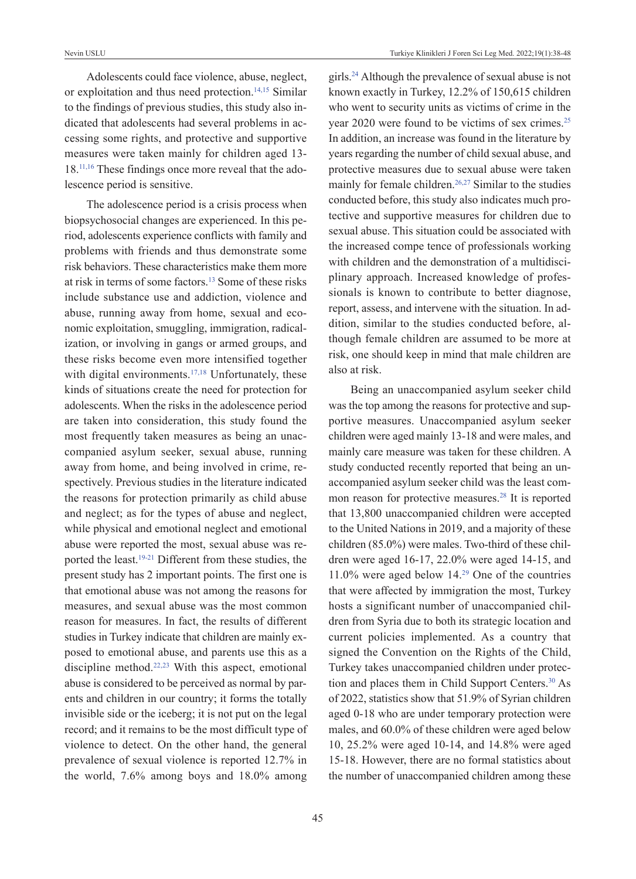Adolescents could face violence, abuse, neglect, or exploitation and thus need protection.<sup>14,15</sup> Similar to the findings of previous studies, this study also indicated that adolescents had several problems in accessing some rights, and protective and supportive measures were taken mainly for children aged 13- 18[.11,16](#page-9-0) These findings once more reveal that the adolescence period is sensitive.

The adolescence period is a crisis process when biopsychosocial changes are experienced. In this period, adolescents experience conflicts with family and problems with friends and thus demonstrate some risk behaviors. These characteristics make them more at risk in terms of some factors[.13](#page-9-0) Some of these risks include substance use and addiction, violence and abuse, running away from home, sexual and economic exploitation, smuggling, immigration, radicalization, or involving in gangs or armed groups, and these risks become even more intensified together with digital environments. $17,18$  Unfortunately, these kinds of situations create the need for protection for adolescents. When the risks in the adolescence period are taken into consideration, this study found the most frequently taken measures as being an unaccompanied asylum seeker, sexual abuse, running away from home, and being involved in crime, respectively. Previous studies in the literature indicated the reasons for protection primarily as child abuse and neglect; as for the types of abuse and neglect, while physical and emotional neglect and emotional abuse were reported the most, sexual abuse was reported the least.<sup>19-21</sup> Different from these studies, the present study has 2 important points. The first one is that emotional abuse was not among the reasons for measures, and sexual abuse was the most common reason for measures. In fact, the results of different studies in Turkey indicate that children are mainly exposed to emotional abuse, and parents use this as a discipline method.<sup>22,23</sup> With this aspect, emotional abuse is considered to be perceived as normal by parents and children in our country; it forms the totally invisible side or the iceberg; it is not put on the legal record; and it remains to be the most difficult type of violence to detect. On the other hand, the general prevalence of sexual violence is reported 12.7% in the world, 7.6% among boys and 18.0% among girls[.24](#page-9-0) Although the prevalence of sexual abuse is not known exactly in Turkey, 12.2% of 150,615 children who went to security units as victims of crime in the year 2020 were found to be victims of sex crimes[.25](#page-9-0) In addition, an increase was found in the literature by years regarding the number of child sexual abuse, and protective measures due to sexual abuse were taken mainly for female children.<sup>26,27</sup> Similar to the studies conducted before, this study also indicates much protective and supportive measures for children due to sexual abuse. This situation could be associated with the increased compe tence of professionals working with children and the demonstration of a multidisciplinary approach. Increased knowledge of professionals is known to contribute to better diagnose, report, assess, and intervene with the situation. In addition, similar to the studies conducted before, although female children are assumed to be more at risk, one should keep in mind that male children are also at risk.

Being an unaccompanied asylum seeker child was the top among the reasons for protective and supportive measures. Unaccompanied asylum seeker children were aged mainly 13-18 and were males, and mainly care measure was taken for these children. A study conducted recently reported that being an unaccompanied asylum seeker child was the least common reason for protective measures.<sup>28</sup> It is reported that 13,800 unaccompanied children were accepted to the United Nations in 2019, and a majority of these children (85.0%) were males. Two-third of these children were aged 16-17, 22.0% were aged 14-15, and 11.0% were aged below 14[.29](#page-9-0) One of the countries that were affected by immigration the most, Turkey hosts a significant number of unaccompanied children from Syria due to both its strategic location and current policies implemented. As a country that signed the Convention on the Rights of the Child, Turkey takes unaccompanied children under protection and places them in Child Support Centers.<sup>30</sup> As of 2022, statistics show that 51.9% of Syrian children aged 0-18 who are under temporary protection were males, and 60.0% of these children were aged below 10, 25.2% were aged 10-14, and 14.8% were aged 15-18. However, there are no formal statistics about the number of unaccompanied children among these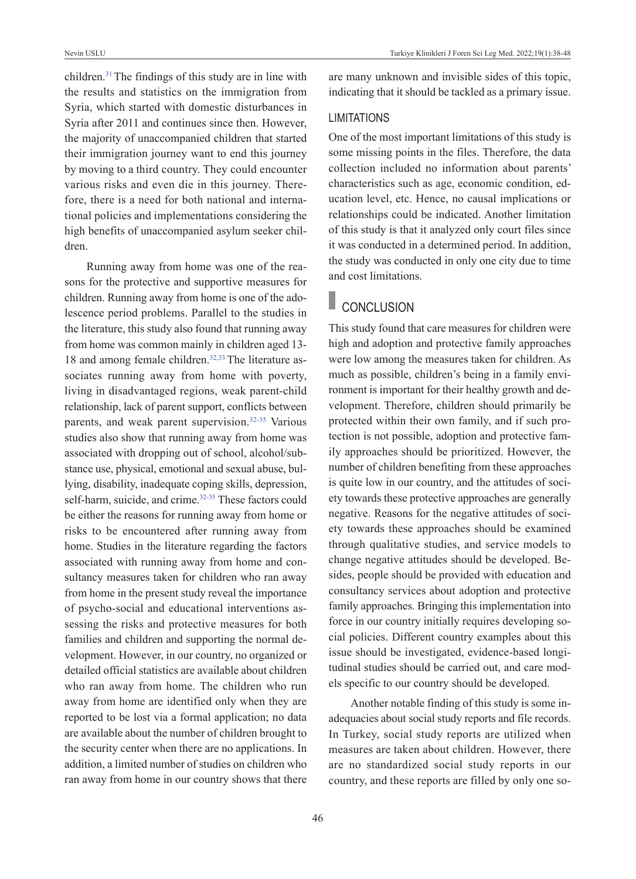children[.31](#page-9-0)The findings of this study are in line with the results and statistics on the immigration from Syria, which started with domestic disturbances in Syria after 2011 and continues since then. However, the majority of unaccompanied children that started their immigration journey want to end this journey by moving to a third country. They could encounter various risks and even die in this journey. Therefore, there is a need for both national and international policies and implementations considering the high benefits of unaccompanied asylum seeker children.

Running away from home was one of the reasons for the protective and supportive measures for children. Running away from home is one of the adolescence period problems. Parallel to the studies in the literature, this study also found that running away from home was common mainly in children aged 13- 18 and among female children.<sup>32,33</sup> The literature associates running away from home with poverty, living in disadvantaged regions, weak parent-child relationship, lack of parent support, conflicts between parents, and weak parent supervision.<sup>32-35</sup> Various studies also show that running away from home was associated with dropping out of school, alcohol/substance use, physical, emotional and sexual abuse, bullying, disability, inadequate coping skills, depression, self-harm, suicide, and crime.<sup>32-35</sup> These factors could be either the reasons for running away from home or risks to be encountered after running away from home. Studies in the literature regarding the factors associated with running away from home and consultancy measures taken for children who ran away from home in the present study reveal the importance of psycho-social and educational interventions assessing the risks and protective measures for both families and children and supporting the normal development. However, in our country, no organized or detailed official statistics are available about children who ran away from home. The children who run away from home are identified only when they are reported to be lost via a formal application; no data are available about the number of children brought to the security center when there are no applications. In addition, a limited number of studies on children who ran away from home in our country shows that there are many unknown and invisible sides of this topic, indicating that it should be tackled as a primary issue.

#### LIMITATIONS

One of the most important limitations of this study is some missing points in the files. Therefore, the data collection included no information about parents' characteristics such as age, economic condition, education level, etc. Hence, no causal implications or relationships could be indicated. Another limitation of this study is that it analyzed only court files since it was conducted in a determined period. In addition, the study was conducted in only one city due to time and cost limitations.

# CONCLUSION

This study found that care measures for children were high and adoption and protective family approaches were low among the measures taken for children. As much as possible, children's being in a family environment is important for their healthy growth and development. Therefore, children should primarily be protected within their own family, and if such protection is not possible, adoption and protective family approaches should be prioritized. However, the number of children benefiting from these approaches is quite low in our country, and the attitudes of society towards these protective approaches are generally negative. Reasons for the negative attitudes of society towards these approaches should be examined through qualitative studies, and service models to change negative attitudes should be developed. Besides, people should be provided with education and consultancy services about adoption and protective family approaches. Bringing this implementation into force in our country initially requires developing social policies. Different country examples about this issue should be investigated, evidence-based longitudinal studies should be carried out, and care models specific to our country should be developed.

Another notable finding of this study is some inadequacies about social study reports and file records. In Turkey, social study reports are utilized when measures are taken about children. However, there are no standardized social study reports in our country, and these reports are filled by only one so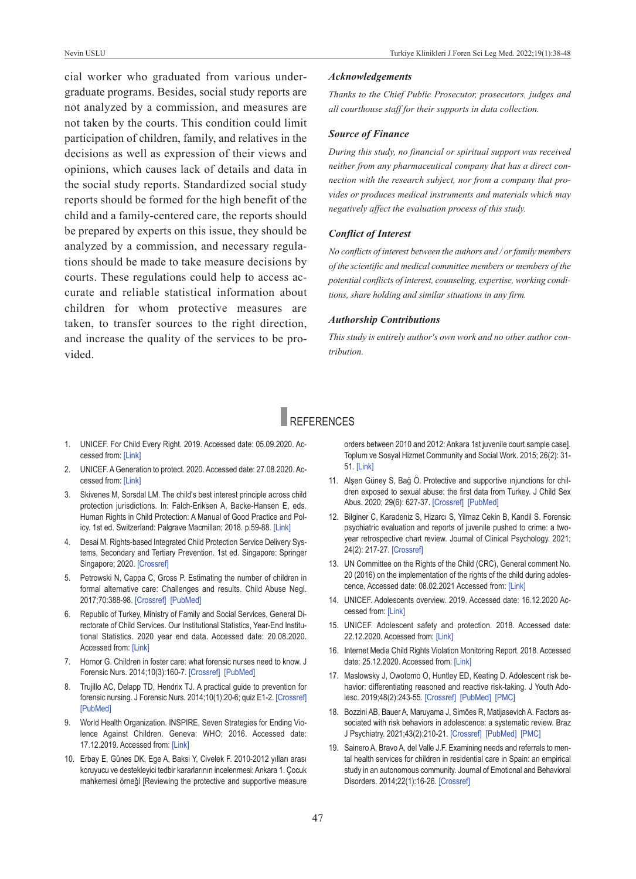cial worker who graduated from various undergraduate programs. Besides, social study reports are not analyzed by a commission, and measures are not taken by the courts. This condition could limit participation of children, family, and relatives in the decisions as well as expression of their views and opinions, which causes lack of details and data in the social study reports. Standardized social study reports should be formed for the high benefit of the child and a family-centered care, the reports should be prepared by experts on this issue, they should be analyzed by a commission, and necessary regulations should be made to take measure decisions by courts. These regulations could help to access accurate and reliable statistical information about children for whom protective measures are taken, to transfer sources to the right direction, and increase the quality of the services to be provided.

#### *Acknowledgements*

*Thanks to the Chief Public Prosecutor, prosecutors, judges and all courthouse staff for their supports in data collection.*

#### *Source of Finance*

*During this study, no financial or spiritual support was received neither from any pharmaceutical company that has a direct connection with the research subject, nor from a company that provides or produces medical instruments and materials which may negatively affect the evaluation process of this study.* 

#### *Conflict of Interest*

*No conflicts of interest between the authors and / or family members of the scientific and medical committee members or members of the potential conflicts of interest, counseling, expertise, working conditions, share holding and similar situations in any firm.* 

#### *Authorship Contributions*

*This study is entirely author's own work and no other author contribution.*

# REfERENCES

- 1. uNICEf. for Child Every Right. 2019. Accessed date: 05.09.2020. Accessed from: [\[Link\]](https://www.unicef.org/media/62371/file/Convention-rights-child-at-crossroads-2019.pdf)
- 2. uNICEf. A Generation to protect. 2020. Accessed date: 27.08.2020. Accessed from: [\[Link\]](https://data.unicef.org/resources/a-generation-to-protect/)
- 3. Skivenes M, Sorsdal LM. The child's best interest principle across child protection jurisdictions. In: falch-Eriksen A, Backe-Hansen E, eds. Human Rights in Child Protection: A Manual of Good Practice and Pol-icy. 1st ed. Switzerland: Palgrave Macmillan; 2018. p.59-88. [\[Link\]](https://link.springer.com/chapter/10.1007/978-3-319-94800-3_4)
- 4. Desai M. Rights-based Integrated Child Protection Service Delivery Systems, Secondary and Tertiary Prevention. 1st ed. Singapore: Springer Singapore; 2020. [\[Crossref\]](https://link.springer.com/book/10.1007/978-981-13-8534-6)
- 5. Petrowski N, Cappa C, Gross P. Estimating the number of children in formal alternative care: Challenges and results. Child Abuse Negl. 2017;70:388-98. [\[Crossref\]](https://www.sciencedirect.com/science/article/pii/S0145213416302873?via%3Dihub) [\[pubMed\]](https://pubmed.ncbi.nlm.nih.gov/28578826/)
- 6. Republic of Turkey, Ministry of family and Social Services, General Directorate of Child Services. Our Institutional Statistics, Year-End Institutional Statistics. 2020 year end data. Accessed date: 20.08.2020. Accessed from: [\[Link\]](https://www.aile.gov.tr/media/87499/kurumsal-istatistikler.pdf)
- 7. Hornor G. Children in foster care: what forensic nurses need to know. J Forensic Nurs. 2014;10(3):160-7. [\[Crossref\]](https://journals.lww.com/forensicnursing/Fulltext/2014/07000/Children_in_Foster_Care__What_Forensic_Nurses_Need.8.aspx) [PubMed]
- 8. Trujillo AC, Delapp TD, Hendrix TJ. A practical guide to prevention for forensic nursing. J forensic Nurs. 2014;10(1):20-6; quiz E1-2. [\[Crossref\]](https://journals.lww.com/forensicnursing/Fulltext/2014/01000/A_Practical_Guide_to_Prevention_for_Forensic.4.aspx) [\[pubMed\]](https://pubmed.ncbi.nlm.nih.gov/24445483/)
- 9. World Health Organization. INSPIRE, Seven Strategies for Ending Violence Against Children. Geneva: wHO; 2016. Accessed date: 17.12.2019. Accessed from: [\[Link\]](https://www.unicef.org/media/66876/file/INSPIRE-SevenStrategies.pdf)
- 10. Erbay E, Günes DK, Ege A, Baksi Y, Civelek f. 2010-2012 yılları arası koruyucu ve destekleyici tedbir kararlarının incelenmesi: Ankara 1. Çocuk mahkemesi örneği [Reviewing the protective and supportive measure

<span id="page-9-0"></span>orders between 2010 and 2012: Ankara 1st juvenile court sample case]. Toplum ve Sosyal Hizmet Community and Social work. 2015; 26(2): 31- 51. [\[Link\]](https://dergipark.org.tr/tr/download/article-file/153089)

- 11. Alşen Güney S, Bağ Ö. Protective and supportive injunctions for children exposed to sexual abuse: the first data from Turkey. J Child Sex Abus. 2020; 29(6): 627-37. [\[Crossref\]](https://www.tandfonline.com/doi/full/10.1080/10538712.2019.1703234) [PubMed]
- 12. Bilginer C, Karadeniz S, Hizarcı S, Yilmaz Cekin B, Kandil S. forensic psychiatric evaluation and reports of juvenile pushed to crime: a twoyear retrospective chart review. Journal of Clinical Psychology. 2021; 24(2): 217-27. [\[Crossref\]](https://jag.journalagent.com/kpd/pdfs/KPD_24_2_217_227.pdf)
- 13. uN Committee on the Rights of the Child (CRC), General comment No. 20 (2016) on the implementation of the rights of the child during adolescence, Accessed date: 08.02.2021 Accessed from: [\[Link\]](https://www.refworld.org/docid/589dad3d4.html)
- 14. uNICEf. Adolescents overview. 2019. Accessed date: 16.12.2020 Accessed from: [\[Link\]](https://data.unicef.org/topic/adolescents/overview/)
- 15. uNICEf. Adolescent safety and protection. 2018. Accessed date: 22.12.2020. Accessed from: [\[Link\]](https://www.unicef.org/adolescence/protection)
- 16. Internet Media Child Rights violation Monitoring Report. 2018. Accessed date: 25.12.2020. Accessed from: [\[Link\]](http://www.cocugasiddetionluyoruz.net/storage/app/uploads/public/5e0/1f7/22d/5e01f722d8fbc343781819.pdf)
- 17. Maslowsky J, Owotomo O, Huntley ED, Keating D. Adolescent risk behavior: differentiating reasoned and reactive risk-taking. J Youth Adolesc. 2019;48(2):243-55. [\[Crossref\]](https://link.springer.com/article/10.1007/s10964-018-0978-3) [\[pubMed\]](https://pubmed.ncbi.nlm.nih.gov/30617743/) [\[pMC\]](https://www.ncbi.nlm.nih.gov/labs/pmc/articles/PMC6850392/)
- 18. Bozzini AB, Bauer A, Maruyama J, Simões R, Matijasevich A. factors associated with risk behaviors in adolescence: a systematic review. Braz J psychiatry. 2021;43(2):210-21. [\[Crossref\]](https://www.scielo.br/j/rbp/a/GGKbRzZTqHX87Sbqkhzhscc/?lang=en) [\[pubMed\]](https://pubmed.ncbi.nlm.nih.gov/32756805/) [\[pMC\]](https://www.ncbi.nlm.nih.gov/labs/pmc/articles/PMC8023154/)
- 19. Sainero A, Bravo A, del valle J.f. Examining needs and referrals to mental health services for children in residential care in Spain: an empirical study in an autonomous community. Journal of Emotional and Behavioral Disorders. 2014;22(1):16-26. [\[Crossref\]](https://journals.sagepub.com/doi/10.1177/1063426612470517)